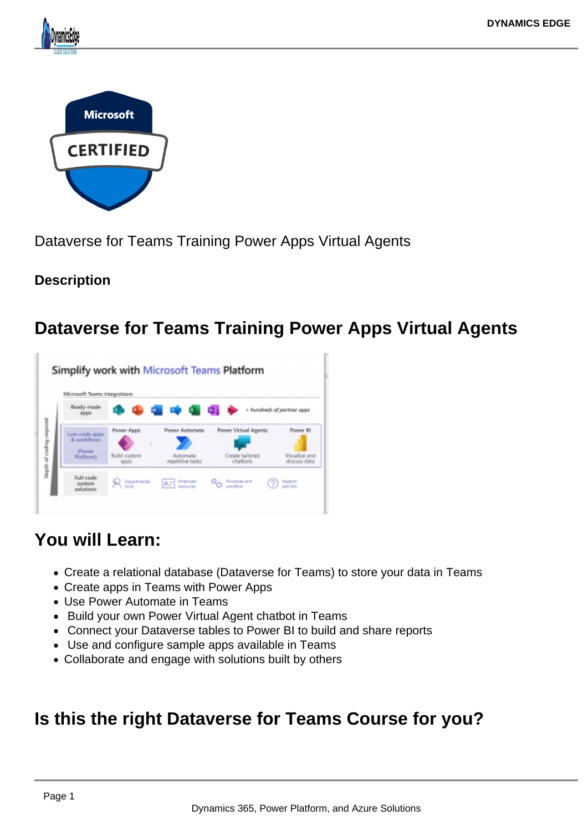



Dataverse for Teams Training Power Apps Virtual Agents

#### **Description**

# **Dataverse for Teams Training Power Apps Virtual Agents**

| Microsoft Teams integrations             |                                                     |                                   |                             |                        |
|------------------------------------------|-----------------------------------------------------|-----------------------------------|-----------------------------|------------------------|
| Ready-made<br>appu                       | <b>WE WE WE WE UP</b><br>+ hundreds of partner apps |                                   |                             |                        |
| Low-code apps<br><b>&amp; worldflows</b> | Power Apps                                          | Power Automate                    | Power Virtual Agents        | Power 81               |
| (Pouser<br>Platform)                     | Build custom                                        | <b>Automate</b><br>weiziwe raskis | Create tailored<br>chathots | <b>Visitablire</b> and |

## **You will Learn:**

- Create a relational database (Dataverse for Teams) to store your data in Teams
- Create apps in Teams with Power Apps
- Use Power Automate in Teams
- Build your own Power Virtual Agent chatbot in Teams
- Connect your Dataverse tables to Power BI to build and share reports
- Use and configure sample apps available in Teams
- Collaborate and engage with solutions built by others

## **Is this the right Dataverse for Teams Course for you?**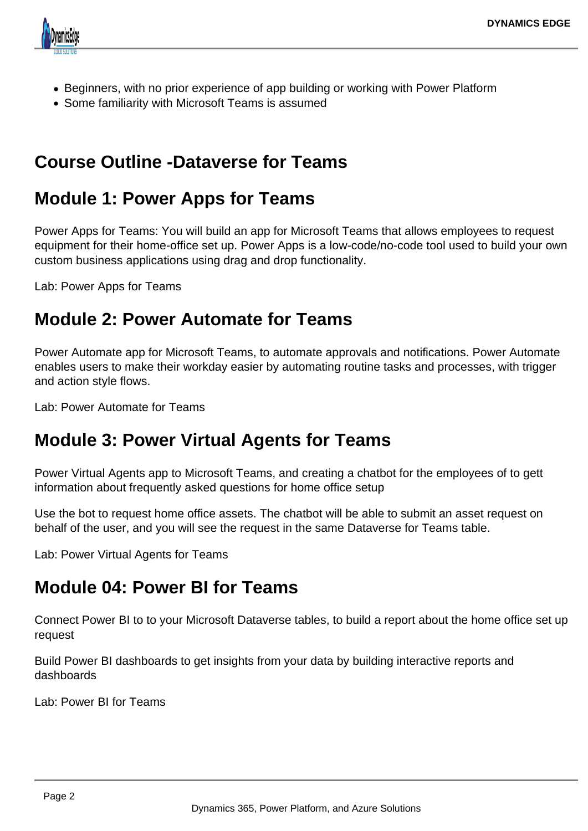

- Beginners, with no prior experience of app building or working with Power Platform
- Some familiarity with Microsoft Teams is assumed

## **Course Outline -Dataverse for Teams**

#### **Module 1: Power Apps for Teams**

Power Apps for Teams: You will build an app for Microsoft Teams that allows employees to request equipment for their home-office set up. Power Apps is a low-code/no-code tool used to build your own custom business applications using drag and drop functionality.

Lab: Power Apps for Teams

#### **Module 2: Power Automate for Teams**

Power Automate app for Microsoft Teams, to automate approvals and notifications. Power Automate enables users to make their workday easier by automating routine tasks and processes, with trigger and action style flows.

Lab: Power Automate for Teams

#### **Module 3: Power Virtual Agents for Teams**

Power Virtual Agents app to Microsoft Teams, and creating a chatbot for the employees of to gett information about frequently asked questions for home office setup

Use the bot to request home office assets. The chatbot will be able to submit an asset request on behalf of the user, and you will see the request in the same Dataverse for Teams table.

Lab: Power Virtual Agents for Teams

## **Module 04: Power BI for Teams**

Connect Power BI to to your Microsoft Dataverse tables, to build a report about the home office set up request

Build Power BI dashboards to get insights from your data by building interactive reports and dashboards

Lab: Power BI for Teams